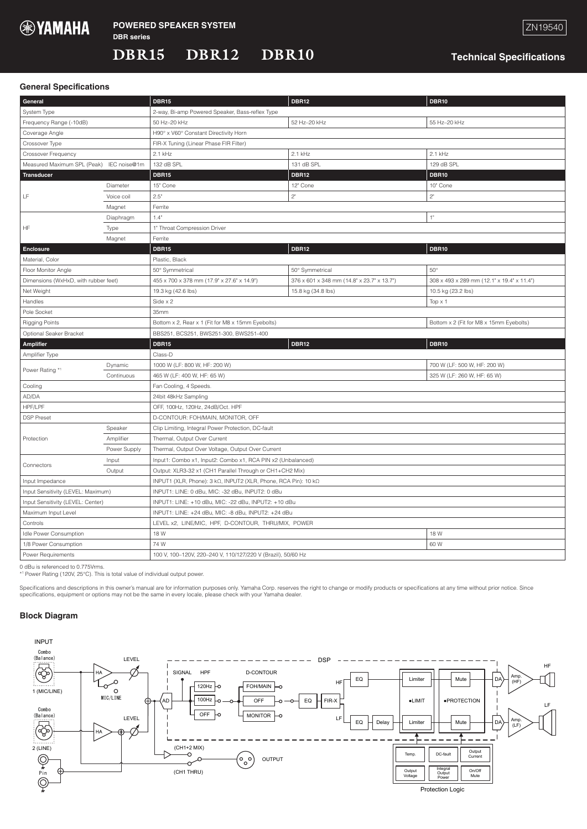

DBR12

DBR15

DBR10

**Technical Specifications** 

## **General Specifications**

| General                                  |              | <b>DBR15</b>                                                                                 | <b>DBR12</b>                               | <b>DBR10</b>                               |
|------------------------------------------|--------------|----------------------------------------------------------------------------------------------|--------------------------------------------|--------------------------------------------|
| System Type                              |              | 2-way, Bi-amp Powered Speaker, Bass-reflex Type                                              |                                            |                                            |
| Frequency Range (-10dB)                  |              | 50 Hz-20 kHz                                                                                 | 52 Hz-20 kHz                               | 55 Hz-20 kHz                               |
| Coverage Angle                           |              | H90° x V60° Constant Directivity Horn                                                        |                                            |                                            |
| Crossover Type                           |              | FIR-X Tuning (Linear Phase FIR Filter)                                                       |                                            |                                            |
| Crossover Frequency                      |              | $2.1$ kHz                                                                                    | $2.1$ kHz                                  | $2.1$ kHz                                  |
| Measured Maximum SPL (Peak) IEC noise@1m |              | 132 dB SPL                                                                                   | 131 dB SPL                                 | 129 dB SPL                                 |
| <b>Transducer</b>                        |              | <b>DBR15</b>                                                                                 | <b>DBR12</b>                               | <b>DBR10</b>                               |
| LF                                       | Diameter     | 15" Cone                                                                                     | 12" Cone                                   | 10" Cone                                   |
|                                          | Voice coil   | 2.5"                                                                                         | 2"                                         | 2"                                         |
|                                          | Magnet       | Ferrite                                                                                      |                                            |                                            |
|                                          | Diaphragm    | 1"<br>1.4"                                                                                   |                                            |                                            |
| ΗF                                       | Type         | 1" Throat Compression Driver                                                                 |                                            |                                            |
|                                          | Magnet       | Ferrite                                                                                      |                                            |                                            |
| <b>Enclosure</b>                         |              | <b>DBR15</b>                                                                                 | <b>DBR12</b>                               | <b>DBR10</b>                               |
| Material, Color                          |              | Plastic, Black                                                                               |                                            |                                            |
| Floor Monitor Angle                      |              | 50° Symmetrical                                                                              | 50° Symmetrical                            | $50^{\circ}$                               |
| Dimensions (WxHxD, with rubber feet)     |              | 455 x 700 x 378 mm (17.9" x 27.6" x 14.9")                                                   | 376 x 601 x 348 mm (14.8" x 23.7" x 13.7") | 308 x 493 x 289 mm (12.1" x 19.4" x 11.4") |
| Net Weight                               |              | 19.3 kg (42.6 lbs)                                                                           | 15.8 kg (34.8 lbs)                         | 10.5 kg (23.2 lbs)                         |
| Handles                                  |              | Side x 2<br>Top $\times$ 1                                                                   |                                            |                                            |
| Pole Socket                              |              | 35mm                                                                                         |                                            |                                            |
| <b>Rigging Points</b>                    |              | Bottom x 2, Rear x 1 (Fit for M8 x 15mm Eyebolts)<br>Bottom x 2 (Fit for M8 x 15mm Eyebolts) |                                            |                                            |
| Optional Seaker Bracket                  |              | BBS251, BCS251, BWS251-300, BWS251-400                                                       |                                            |                                            |
| <b>Amplifier</b>                         |              | <b>DBR15</b>                                                                                 | <b>DBR12</b>                               | <b>DBR10</b>                               |
| Amplifier Type                           |              | Class-D                                                                                      |                                            |                                            |
| Power Rating *1                          | Dynamic      | 1000 W (LF: 800 W, HF: 200 W)<br>700 W (LF: 500 W, HF: 200 W)                                |                                            |                                            |
|                                          | Continuous   | 325 W (LF: 260 W, HF: 65 W)<br>465 W (LF: 400 W, HF: 65 W)                                   |                                            |                                            |
| Cooling                                  |              | Fan Cooling, 4 Speeds.                                                                       |                                            |                                            |
| AD/DA                                    |              | 24bit 48kHz Sampling                                                                         |                                            |                                            |
| HPF/LPF                                  |              | OFF, 100Hz, 120Hz, 24dB/Oct. HPF                                                             |                                            |                                            |
| <b>DSP Preset</b>                        |              | D-CONTOUR: FOH/MAIN, MONITOR, OFF                                                            |                                            |                                            |
|                                          | Speaker      | Clip Limiting, Integral Power Protection, DC-fault                                           |                                            |                                            |
| Protection                               | Amplifier    | Thermal, Output Over Current                                                                 |                                            |                                            |
|                                          | Power Supply | Thermal, Output Over Voltage, Output Over Current                                            |                                            |                                            |
| Connectors                               | Input        | Input1: Combo x1, Input2: Combo x1, RCA PIN x2 (Unbalanced)                                  |                                            |                                            |
|                                          | Output       | Output: XLR3-32 x1 (CH1 Parallel Through or CH1+CH2 Mix)                                     |                                            |                                            |
| Input Impedance                          |              | INPUT1 (XLR, Phone): 3 kΩ, INPUT2 (XLR, Phone, RCA Pin): 10 kΩ                               |                                            |                                            |
| Input Sensitivity (LEVEL: Maximum)       |              | INPUT1: LINE: 0 dBu, MIC: -32 dBu, INPUT2: 0 dBu                                             |                                            |                                            |
| Input Sensitivity (LEVEL: Center)        |              | INPUT1: LINE: +10 dBu, MIC: -22 dBu, INPUT2: +10 dBu                                         |                                            |                                            |
| Maximum Input Level                      |              | INPUT1: LINE: +24 dBu, MIC: -8 dBu, INPUT2: +24 dBu                                          |                                            |                                            |
| Controls                                 |              | LEVEL x2, LINE/MIC, HPF, D-CONTOUR, THRU/MIX, POWER                                          |                                            |                                            |
| Idle Power Consumption                   |              | 18 W<br>18 W                                                                                 |                                            |                                            |
| 1/8 Power Consumption                    |              | 74 W                                                                                         |                                            | 60 W                                       |
| Power Requirements                       |              | 100 V, 100-120V, 220-240 V, 110/127/220 V (Brazil), 50/60 Hz                                 |                                            |                                            |

0 dBu is referenced to 0.775 Vrms.

\*<sup>1</sup> Power Rating (120V, 25°C). This is total value of individual output power.

Specifications and descriptions in this owner's manual are for information purposes only. Yamaha Corp. reserves the right to change or modify products or specifications at any time without prior notice. Since specifications, equipment or options may not be the same in every locale, please check with your Yamaha dealer.



INPUT